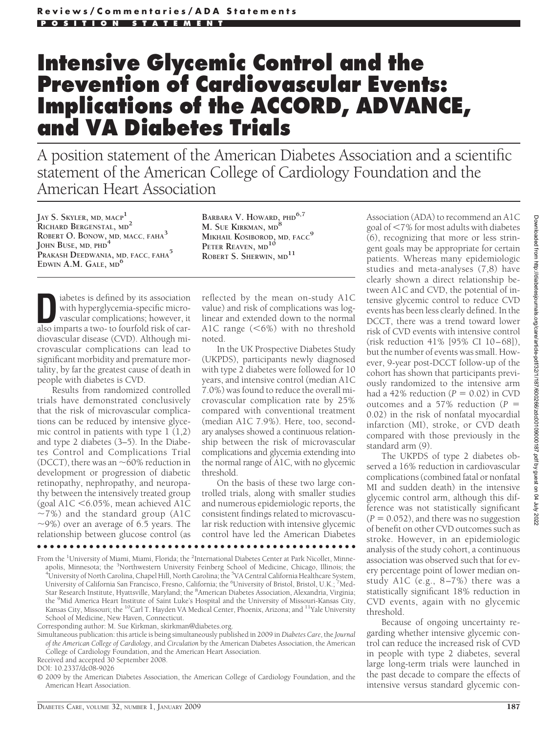# **Intensive Glycemic Control and the Prevention of Cardiovascular Events: Implications of the ACCORD, ADVANCE, and VA Diabetes Trials**

A position statement of the American Diabetes Association and a scientific statement of the American College of Cardiology Foundation and the American Heart Association

**JAY S. SKYLER, MD, MACP1 RICHARD BERGENSTAL, MD<sup>2</sup> ROBERT O. BONOW, MD, MACC, FAHA<sup>3</sup> JOHN BUSE, MD, PHD<sup>4</sup> PRAKASH DEEDWANIA, MD, FACC, FAHA<sup>5</sup> EDWIN A.M. GALE, MD<sup>6</sup>**

**BARBARA V. HOWARD, PHD6,7 M. SUE KIRKMAN, MD<sup>8</sup> MIKHAIL KOSIBOROD, MD, FACC<sup>9</sup> PETER REAVEN, MD<sup>10</sup> ROBERT S. SHERWIN, MD<sup>11</sup>**

iabetes is defined by its association<br>with hyperglycemia-specific micro-<br>vascular complications; however, it<br>also imparts a two- to fourfold risk of carwith hyperglycemia-specific microvascular complications; however, it also imparts a two- to fourfold risk of cardiovascular disease (CVD). Although microvascular complications can lead to significant morbidity and premature mortality, by far the greatest cause of death in people with diabetes is CVD.

Results from randomized controlled trials have demonstrated conclusively that the risk of microvascular complications can be reduced by intensive glycemic control in patients with type 1 (1,2) and type 2 diabetes (3–5). In the Diabetes Control and Complications Trial (DCCT), there was an  $\sim$  60% reduction in development or progression of diabetic retinopathy, nephropathy, and neuropathy between the intensively treated group (goal A1C -6.05%, mean achieved A1C  $\sim$ 7%) and the standard group (A1C  $\sim$ 9%) over an average of 6.5 years. The relationship between glucose control (as

reflected by the mean on-study A1C value) and risk of complications was loglinear and extended down to the normal A1C range  $(< 6\%)$  with no threshold noted.

In the UK Prospective Diabetes Study (UKPDS), participants newly diagnosed with type 2 diabetes were followed for 10 years, and intensive control (median A1C 7.0%) was found to reduce the overall microvascular complication rate by 25% compared with conventional treatment (median A1C 7.9%). Here, too, secondary analyses showed a continuous relationship between the risk of microvascular complications and glycemia extending into the normal range of A1C, with no glycemic threshold.

On the basis of these two large controlled trials, along with smaller studies and numerous epidemiologic reports, the consistent findings related to microvascular risk reduction with intensive glycemic control have led the American Diabetes

From the <sup>1</sup>University of Miami, Miami, Florida; the <sup>2</sup>International Diabetes Center at Park Nicollet, Minneapolis, Minnesota; the <sup>3</sup>Northwestern University Feinberg School of Medicine, Chicago, Illinois; the apolis, Minnesota; the <sup>3</sup>Northwestern University Feinberg School of Medicine, Chicago, Illinois; the<br><sup>4</sup>University of North Carolina, Chapel Hill, North Carolina; the <sup>5</sup>VA Central California Healthcare System, University of California San Francisco, Fresno, California; the <sup>6</sup>University of Bristol, Bristol, U.K.; <sup>7</sup>Med-Star Research Institute, Hyattsville, Maryland; the <sup>8</sup>American Diabetes Association, Alexandria, Virginia; the <sup>9</sup>Mid America Heart Institute of Saint Luke's Hospital and the University of Missouri-Kansas City, Kansas City, Missouri; the <sup>10</sup>Carl T. Hayden VA Medical Center, Phoenix, Arizona; and <sup>11</sup>Yale University School of Medicine, New Haven, Connecticut.

●●●●●●●●●●●●●●●●●●●●●●●●●●●●●●●●●●●●●●●●●●●●●●●●●

Corresponding author: M. Sue Kirkman, skirkman@diabetes.org.

Simultaneous publication: this article is being simultaneously published in 2009 in *Diabetes Care*, the *Journal of the American College of Cardiology*, and *Circulation* by the American Diabetes Association, the American College of Cardiology Foundation, and the American Heart Association.

Received and accepted 30 September 2008.

DOI: 10.2337/dc08-9026

© 2009 by the American Diabetes Association, the American College of Cardiology Foundation, and the American Heart Association.

Association (ADA) to recommend an A1C goal of -7% for most adults with diabetes (6), recognizing that more or less stringent goals may be appropriate for certain patients. Whereas many epidemiologic studies and meta-analyses (7,8) have clearly shown a direct relationship between A1C and CVD, the potential of intensive glycemic control to reduce CVD events has been less clearly defined. In the DCCT, there was a trend toward lower risk of CVD events with intensive control (risk reduction 41% [95% CI 10-68]), but the number of events was small. However, 9-year post-DCCT follow-up of the cohort has shown that participants previously randomized to the intensive arm had a  $42\%$  reduction ( $P = 0.02$ ) in CVD outcomes and a 57% reduction (*P* 0.02) in the risk of nonfatal myocardial infarction (MI), stroke, or CVD death compared with those previously in the standard arm (9).

The UKPDS of type 2 diabetes observed a 16% reduction in cardiovascular complications (combined fatal or nonfatal MI and sudden death) in the intensive glycemic control arm, although this difference was not statistically significant  $(P = 0.052)$ , and there was no suggestion of benefit on other CVD outcomes such as stroke. However, in an epidemiologic analysis of the study cohort, a continuous association was observed such that for every percentage point of lower median onstudy A1C (e.g.,  $8-7\%$ ) there was a statistically significant 18% reduction in CVD events, again with no glycemic threshold.

Because of ongoing uncertainty regarding whether intensive glycemic control can reduce the increased risk of CVD in people with type 2 diabetes, several large long-term trials were launched in the past decade to compare the effects of intensive versus standard glycemic con-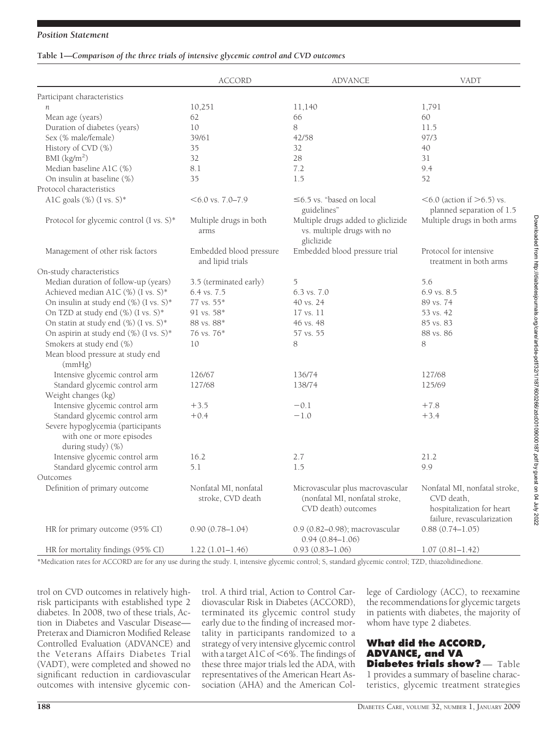## *Position Statement*

## **Table 1—***Comparison of the three trials of intensive glycemic control and CVD outcomes*

|                                                                                     | <b>ACCORD</b>                               | <b>ADVANCE</b>                                                                 | VADT                                                                  |
|-------------------------------------------------------------------------------------|---------------------------------------------|--------------------------------------------------------------------------------|-----------------------------------------------------------------------|
| Participant characteristics                                                         |                                             |                                                                                |                                                                       |
| n                                                                                   | 10,251                                      | 11,140                                                                         | 1,791                                                                 |
| Mean age (years)                                                                    | 62                                          | 66                                                                             | 60                                                                    |
| Duration of diabetes (years)                                                        | 10                                          | 8                                                                              | 11.5                                                                  |
| Sex (% male/female)                                                                 | 39/61                                       | 42/58                                                                          | 97/3                                                                  |
| History of CVD (%)                                                                  | 35                                          | 32                                                                             | 40                                                                    |
| BMI $(kg/m2)$                                                                       | 32                                          | 28                                                                             | 31                                                                    |
| Median baseline A1C (%)                                                             | 8.1                                         | 7.2                                                                            | 9.4                                                                   |
| On insulin at baseline (%)                                                          | 35                                          | 1.5                                                                            | 52                                                                    |
| Protocol characteristics                                                            |                                             |                                                                                |                                                                       |
| AlC goals $(\%)$ (I vs. S)*                                                         | $<6.0$ vs. 7.0–7.9                          | $\leq$ 6.5 vs. "based on local<br>guidelines"                                  | $\leq 6.0$ (action if $\geq 6.5$ ) vs.<br>planned separation of 1.5   |
| Protocol for glycemic control $(I \text{ vs. } S)^*$                                | Multiple drugs in both<br>arms              | Multiple drugs added to gliclizide<br>vs. multiple drugs with no<br>gliclizide | Multiple drugs in both arms                                           |
| Management of other risk factors                                                    | Embedded blood pressure<br>and lipid trials | Embedded blood pressure trial                                                  | Protocol for intensive<br>treatment in both arms                      |
| On-study characteristics                                                            |                                             |                                                                                |                                                                       |
| Median duration of follow-up (years)                                                | 3.5 (terminated early)                      | 5                                                                              | 5.6                                                                   |
| Achieved median A1C (%) (I vs. S)*                                                  | 6.4 vs. 7.5                                 | $6.3 \text{ vs. } 7.0$                                                         | $6.9$ vs. $8.5$                                                       |
| On insulin at study end (%) (I vs. S)*                                              | $77$ vs. $55*$                              | 40 vs. 24                                                                      | 89 vs. 74                                                             |
| On TZD at study end (%) (I vs. S)*                                                  | 91 vs. $58*$                                | 17 vs. 11                                                                      | 53 vs. 42                                                             |
| On statin at study end (%) (I vs. S)*                                               | 88 vs. 88*                                  | 46 vs. 48                                                                      | 85 vs. 83                                                             |
| On aspirin at study end (%) (I vs. S)*                                              | 76 vs. 76*                                  | 57 vs. 55                                                                      | 88 vs. 86                                                             |
| Smokers at study end (%)                                                            | 10                                          | 8                                                                              | 8                                                                     |
| Mean blood pressure at study end<br>(mmHg)                                          |                                             |                                                                                |                                                                       |
| Intensive glycemic control arm                                                      | 126/67                                      | 136/74                                                                         | 127/68                                                                |
| Standard glycemic control arm<br>Weight changes (kg)                                | 127/68                                      | 138/74                                                                         | 125/69                                                                |
| Intensive glycemic control arm                                                      | $+3.5$                                      | $-0.1$                                                                         | $+7.8$                                                                |
| Standard glycemic control arm                                                       | $+0.4$                                      | $-1.0$                                                                         | $+3.4$                                                                |
| Severe hypoglycemia (participants<br>with one or more episodes<br>during study) (%) |                                             |                                                                                |                                                                       |
| Intensive glycemic control arm                                                      | 16.2                                        | 2.7                                                                            | 21.2                                                                  |
| Standard glycemic control arm<br>Outcomes                                           | 5.1                                         | 1.5                                                                            | 9.9                                                                   |
| Definition of primary outcome                                                       | Nonfatal MI, nonfatal                       | Microvascular plus macrovascular                                               | Nonfatal MI, nonfatal stroke,                                         |
|                                                                                     | stroke, CVD death                           | (nonfatal MI, nonfatal stroke,<br>CVD death) outcomes                          | CVD death,<br>hospitalization for heart<br>failure, revascularization |
| HR for primary outcome (95% CI)                                                     | $0.90(0.78 - 1.04)$                         | 0.9 (0.82–0.98); macrovascular<br>$0.94(0.84 - 1.06)$                          | $0.88(0.74 - 1.05)$                                                   |
| HR for mortality findings (95% CI)                                                  | $1.22(1.01-1.46)$                           | $0.93(0.83 - 1.06)$                                                            | $1.07(0.81 - 1.42)$                                                   |

\*Medication rates for ACCORD are for any use during the study. I, intensive glycemic control; S, standard glycemic control; TZD, thiazolidinedione.

trol on CVD outcomes in relatively highrisk participants with established type 2 diabetes. In 2008, two of these trials, Action in Diabetes and Vascular Disease— Preterax and Diamicron Modified Release Controlled Evaluation (ADVANCE) and the Veterans Affairs Diabetes Trial (VADT), were completed and showed no significant reduction in cardiovascular outcomes with intensive glycemic control. A third trial, Action to Control Cardiovascular Risk in Diabetes (ACCORD), terminated its glycemic control study early due to the finding of increased mortality in participants randomized to a strategy of very intensive glycemic control with a target A1C of  $<$  6%. The findings of these three major trials led the ADA, with representatives of the American Heart Association (AHA) and the American College of Cardiology (ACC), to reexamine the recommendations for glycemic targets in patients with diabetes, the majority of whom have type 2 diabetes.

# **What did the ACCORD, ADVANCE, and VA Diabetes trials show?** - Table 1 provides a summary of baseline charac-

teristics, glycemic treatment strategies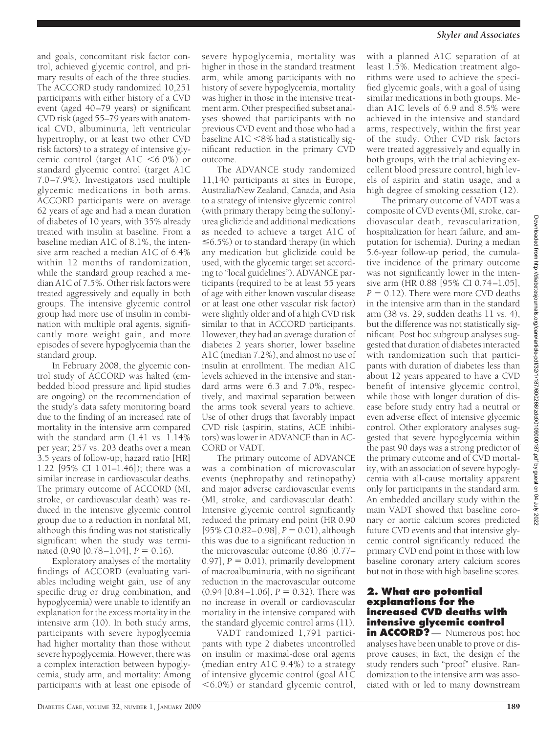and goals, concomitant risk factor control, achieved glycemic control, and primary results of each of the three studies. The ACCORD study randomized 10,251 participants with either history of a CVD event (aged 40 –79 years) or significant CVD risk (aged 55–79 years with anatomical CVD, albuminuria, left ventricular hypertrophy, or at least two other CVD risk factors) to a strategy of intensive glycemic control (target A1C <6.0%) or standard glycemic control (target A1C 7.0 –7.9%). Investigators used multiple glycemic medications in both arms. ACCORD participants were on average 62 years of age and had a mean duration of diabetes of 10 years, with 35% already treated with insulin at baseline. From a baseline median A1C of 8.1%, the intensive arm reached a median A1C of 6.4% within 12 months of randomization, while the standard group reached a median A1C of 7.5%. Other risk factors were treated aggressively and equally in both groups. The intensive glycemic control group had more use of insulin in combination with multiple oral agents, significantly more weight gain, and more episodes of severe hypoglycemia than the standard group.

In February 2008, the glycemic control study of ACCORD was halted (embedded blood pressure and lipid studies are ongoing) on the recommendation of the study's data safety monitoring board due to the finding of an increased rate of mortality in the intensive arm compared with the standard arm (1.41 vs. 1.14% per year; 257 vs. 203 deaths over a mean 3.5 years of follow-up; hazard ratio [HR] 1.22 [95% CI 1.01–1.46]); there was a similar increase in cardiovascular deaths. The primary outcome of ACCORD (MI, stroke, or cardiovascular death) was reduced in the intensive glycemic control group due to a reduction in nonfatal MI, although this finding was not statistically significant when the study was terminated  $(0.90 \, [0.78 - 1.04], P = 0.16)$ .

Exploratory analyses of the mortality findings of ACCORD (evaluating variables including weight gain, use of any specific drug or drug combination, and hypoglycemia) were unable to identify an explanation for the excess mortality in the intensive arm (10). In both study arms, participants with severe hypoglycemia had higher mortality than those without severe hypoglycemia. However, there was a complex interaction between hypoglycemia, study arm, and mortality: Among participants with at least one episode of

severe hypoglycemia, mortality was higher in those in the standard treatment arm, while among participants with no history of severe hypoglycemia, mortality was higher in those in the intensive treatment arm. Other prespecified subset analyses showed that participants with no previous CVD event and those who had a baseline A1C -8% had a statistically significant reduction in the primary CVD outcome.

The ADVANCE study randomized 11,140 participants at sites in Europe, Australia/New Zealand, Canada, and Asia to a strategy of intensive glycemic control (with primary therapy being the sulfonylurea gliclizide and additional medications as needed to achieve a target A1C of  $\leq 6.5\%$ ) or to standard therapy (in which any medication but gliclizide could be used, with the glycemic target set according to "local guidelines"). ADVANCE participants (required to be at least 55 years of age with either known vascular disease or at least one other vascular risk factor) were slightly older and of a high CVD risk similar to that in ACCORD participants. However, they had an average duration of diabetes 2 years shorter, lower baseline A1C (median 7.2%), and almost no use of insulin at enrollment. The median A1C levels achieved in the intensive and standard arms were 6.3 and 7.0%, respectively, and maximal separation between the arms took several years to achieve. Use of other drugs that favorably impact CVD risk (aspirin, statins, ACE inhibitors) was lower in ADVANCE than in AC-CORD or VADT.

The primary outcome of ADVANCE was a combination of microvascular events (nephropathy and retinopathy) and major adverse cardiovascular events (MI, stroke, and cardiovascular death). Intensive glycemic control significantly reduced the primary end point (HR 0.90  $[95\% \text{ CI } 0.82 - 0.98]$ ,  $P = 0.01$ ), although this was due to a significant reduction in the microvascular outcome (0.86 [0.77–  $[0.97]$ ,  $P = [0.01]$ , primarily development of macroalbuminuria, with no significant reduction in the macrovascular outcome  $(0.94 [0.84 - 1.06], P = 0.32)$ . There was no increase in overall or cardiovascular mortality in the intensive compared with the standard glycemic control arms (11).

VADT randomized 1,791 participants with type 2 diabetes uncontrolled on insulin or maximal-dose oral agents (median entry A1C 9.4%) to a strategy of intensive glycemic control (goal A1C -6.0%) or standard glycemic control,

with a planned A1C separation of at least 1.5%. Medication treatment algorithms were used to achieve the specified glycemic goals, with a goal of using similar medications in both groups. Median A1C levels of 6.9 and 8.5% were achieved in the intensive and standard arms, respectively, within the first year of the study. Other CVD risk factors were treated aggressively and equally in both groups, with the trial achieving excellent blood pressure control, high levels of aspirin and statin usage, and a high degree of smoking cessation (12).

The primary outcome of VADT was a composite of CVD events (MI, stroke, cardiovascular death, revascularization, hospitalization for heart failure, and amputation for ischemia). During a median 5.6-year follow-up period, the cumulative incidence of the primary outcome was not significantly lower in the intensive arm (HR 0.88 [95% CI 0.74-1.05],  $P = 0.12$ ). There were more CVD deaths in the intensive arm than in the standard arm (38 vs. 29, sudden deaths 11 vs. 4), but the difference was not statistically significant. Post hoc subgroup analyses suggested that duration of diabetes interacted with randomization such that participants with duration of diabetes less than about 12 years appeared to have a CVD benefit of intensive glycemic control, while those with longer duration of disease before study entry had a neutral or even adverse effect of intensive glycemic control. Other exploratory analyses suggested that severe hypoglycemia within the past 90 days was a strong predictor of the primary outcome and of CVD mortality, with an association of severe hypoglycemia with all-cause mortality apparent only for participants in the standard arm. An embedded ancillary study within the main VADT showed that baseline coronary or aortic calcium scores predicted future CVD events and that intensive glycemic control significantly reduced the primary CVD end point in those with low baseline coronary artery calcium scores but not in those with high baseline scores.

## **2. What are potential explanations for the increased CVD deaths with intensive glycemic control**

**in ACCORD?** — Numerous post hoc analyses have been unable to prove or disprove causes; in fact, the design of the study renders such "proof" elusive. Randomization to the intensive arm was associated with or led to many downstream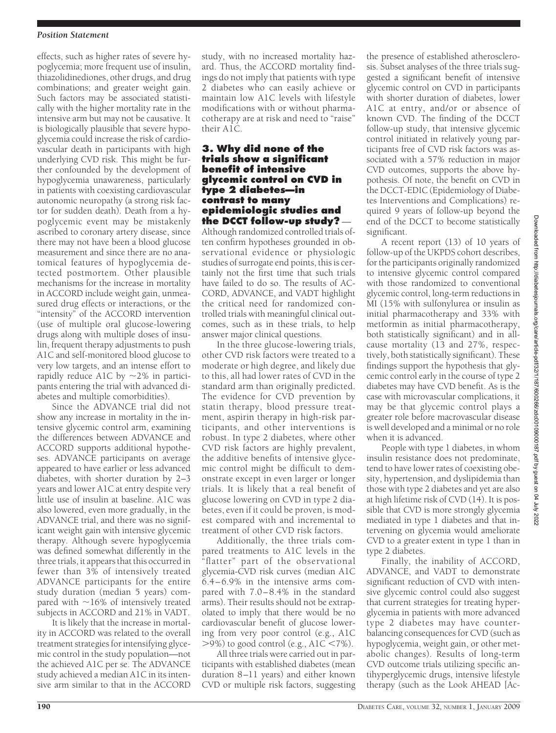effects, such as higher rates of severe hypoglycemia; more frequent use of insulin, thiazolidinediones, other drugs, and drug combinations; and greater weight gain. Such factors may be associated statistically with the higher mortality rate in the intensive arm but may not be causative. It is biologically plausible that severe hypoglycemia could increase the risk of cardiovascular death in participants with high underlying CVD risk. This might be further confounded by the development of hypoglycemia unawareness, particularly in patients with coexisting cardiovascular autonomic neuropathy (a strong risk factor for sudden death). Death from a hypoglycemic event may be mistakenly ascribed to coronary artery disease, since there may not have been a blood glucose measurement and since there are no anatomical features of hypoglycemia detected postmortem. Other plausible mechanisms for the increase in mortality in ACCORD include weight gain, unmeasured drug effects or interactions, or the "intensity" of the ACCORD intervention (use of multiple oral glucose-lowering drugs along with multiple doses of insulin, frequent therapy adjustments to push A1C and self-monitored blood glucose to very low targets, and an intense effort to rapidly reduce A1C by  $\sim$ 2% in participants entering the trial with advanced diabetes and multiple comorbidities).

Since the ADVANCE trial did not show any increase in mortality in the intensive glycemic control arm, examining the differences between ADVANCE and ACCORD supports additional hypotheses. ADVANCE participants on average appeared to have earlier or less advanced diabetes, with shorter duration by 2–3 years and lower A1C at entry despite very little use of insulin at baseline. A1C was also lowered, even more gradually, in the ADVANCE trial, and there was no significant weight gain with intensive glycemic therapy. Although severe hypoglycemia was defined somewhat differently in the three trials, it appears that this occurred in fewer than 3% of intensively treated ADVANCE participants for the entire study duration (median 5 years) compared with  $\sim$ 16% of intensively treated subjects in ACCORD and 21% in VADT.

It is likely that the increase in mortality in ACCORD was related to the overall treatment strategies for intensifying glycemic control in the study population—not the achieved A1C per se. The ADVANCE study achieved a median A1C in its intensive arm similar to that in the ACCORD

study, with no increased mortality hazard. Thus, the ACCORD mortality findings do not imply that patients with type 2 diabetes who can easily achieve or maintain low A1C levels with lifestyle modifications with or without pharmacotherapy are at risk and need to "raise" their A1C.

#### **3. Why did none of the trials show a significant benefit of intensive glycemic control on CVD in type 2 diabetes—in contrast to many epidemiologic studies and the DCCT follow-up study?** —

Although randomized controlled trials often confirm hypotheses grounded in observational evidence or physiologic studies of surrogate end points, this is certainly not the first time that such trials have failed to do so. The results of AC-CORD, ADVANCE, and VADT highlight the critical need for randomized controlled trials with meaningful clinical outcomes, such as in these trials, to help answer major clinical questions.

In the three glucose-lowering trials, other CVD risk factors were treated to a moderate or high degree, and likely due to this, all had lower rates of CVD in the standard arm than originally predicted. The evidence for CVD prevention by statin therapy, blood pressure treatment, aspirin therapy in high-risk participants, and other interventions is robust. In type 2 diabetes, where other CVD risk factors are highly prevalent, the additive benefits of intensive glycemic control might be difficult to demonstrate except in even larger or longer trials. It is likely that a real benefit of glucose lowering on CVD in type 2 diabetes, even if it could be proven, is modest compared with and incremental to treatment of other CVD risk factors.

Additionally, the three trials compared treatments to A1C levels in the "flatter" part of the observational glycemia-CVD risk curves (median A1C 6.4 – 6.9% in the intensive arms compared with 7.0 – 8.4% in the standard arms). Their results should not be extrapolated to imply that there would be no cardiovascular benefit of glucose lowering from very poor control (e.g., A1C  $>$ 9%) to good control (e.g., A1C  $<$ 7%).

All three trials were carried out in participants with established diabetes (mean duration 8-11 years) and either known CVD or multiple risk factors, suggesting the presence of established atherosclerosis. Subset analyses of the three trials suggested a significant benefit of intensive glycemic control on CVD in participants with shorter duration of diabetes, lower A1C at entry, and/or or absence of known CVD. The finding of the DCCT follow-up study, that intensive glycemic control initiated in relatively young participants free of CVD risk factors was associated with a 57% reduction in major CVD outcomes, supports the above hypothesis. Of note, the benefit on CVD in the DCCT-EDIC (Epidemiology of Diabetes Interventions and Complications) required 9 years of follow-up beyond the end of the DCCT to become statistically significant.

A recent report (13) of 10 years of follow-up of the UKPDS cohort describes, for the participants originally randomized to intensive glycemic control compared with those randomized to conventional glycemic control, long-term reductions in MI (15% with sulfonylurea or insulin as initial pharmacotherapy and 33% with metformin as initial pharmacotherapy, both statistically significant) and in allcause mortality (13 and 27%, respectively, both statistically significant). These findings support the hypothesis that glycemic control early in the course of type 2 diabetes may have CVD benefit. As is the case with microvascular complications, it may be that glycemic control plays a greater role before macrovascular disease is well developed and a minimal or no role when it is advanced.

People with type 1 diabetes, in whom insulin resistance does not predominate, tend to have lower rates of coexisting obesity, hypertension, and dyslipidemia than those with type 2 diabetes and yet are also at high lifetime risk of CVD (14). It is possible that CVD is more strongly glycemia mediated in type 1 diabetes and that intervening on glycemia would ameliorate CVD to a greater extent in type 1 than in type 2 diabetes.

Finally, the inability of ACCORD, ADVANCE, and VADT to demonstrate significant reduction of CVD with intensive glycemic control could also suggest that current strategies for treating hyperglycemia in patients with more advanced type 2 diabetes may have counterbalancing consequences for CVD (such as hypoglycemia, weight gain, or other metabolic changes). Results of long-term CVD outcome trials utilizing specific antihyperglycemic drugs, intensive lifestyle therapy (such as the Look AHEAD [Ac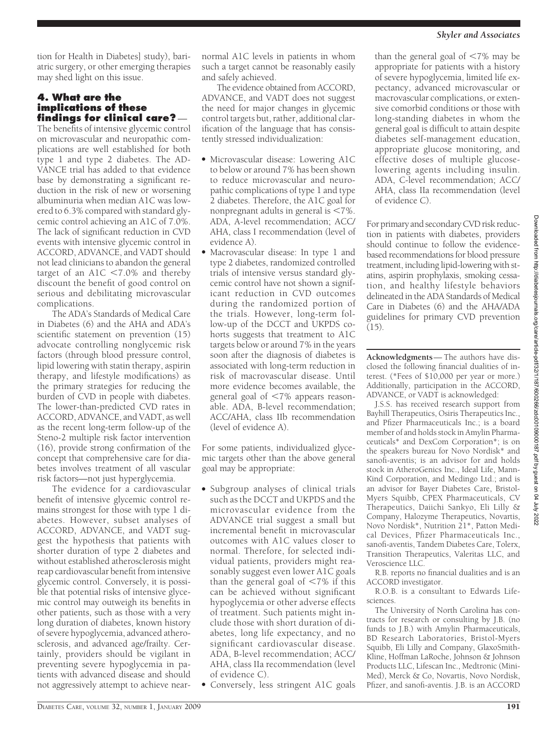tion for Health in Diabetes] study), bariatric surgery, or other emerging therapies may shed light on this issue.

# **4. What are the implications of these findings for clinical care?** —

The benefits of intensive glycemic control on microvascular and neuropathic complications are well established for both type 1 and type 2 diabetes. The AD-VANCE trial has added to that evidence base by demonstrating a significant reduction in the risk of new or worsening albuminuria when median A1C was lowered to 6.3% compared with standard glycemic control achieving an A1C of 7.0%. The lack of significant reduction in CVD events with intensive glycemic control in ACCORD, ADVANCE, and VADT should not lead clinicians to abandon the general target of an  $A1C < 7.0\%$  and thereby discount the benefit of good control on serious and debilitating microvascular complications.

The ADA's Standards of Medical Care in Diabetes (6) and the AHA and ADA's scientific statement on prevention (15) advocate controlling nonglycemic risk factors (through blood pressure control, lipid lowering with statin therapy, aspirin therapy, and lifestyle modifications) as the primary strategies for reducing the burden of CVD in people with diabetes. The lower-than-predicted CVD rates in ACCORD, ADVANCE, and VADT, as well as the recent long-term follow-up of the Steno-2 multiple risk factor intervention (16), provide strong confirmation of the concept that comprehensive care for diabetes involves treatment of all vascular risk factors—not just hyperglycemia.

The evidence for a cardiovascular benefit of intensive glycemic control remains strongest for those with type 1 diabetes. However, subset analyses of ACCORD, ADVANCE, and VADT suggest the hypothesis that patients with shorter duration of type 2 diabetes and without established atherosclerosis might reap cardiovascular benefit from intensive glycemic control. Conversely, it is possible that potential risks of intensive glycemic control may outweigh its benefits in other patients, such as those with a very long duration of diabetes, known history of severe hypoglycemia, advanced atherosclerosis, and advanced age/frailty. Certainly, providers should be vigilant in preventing severe hypoglycemia in patients with advanced disease and should not aggressively attempt to achieve near-

normal A1C levels in patients in whom such a target cannot be reasonably easily and safely achieved.

The evidence obtained from ACCORD, ADVANCE, and VADT does not suggest the need for major changes in glycemic control targets but, rather, additional clarification of the language that has consistently stressed individualization:

- Microvascular disease: Lowering A1C to below or around 7% has been shown to reduce microvascular and neuropathic complications of type 1 and type 2 diabetes. Therefore, the A1C goal for nonpregnant adults in general is  $\leq 7\%$ . ADA, A-level recommendation; ACC/ AHA, class I recommendation (level of evidence A).
- Macrovascular disease: In type 1 and type 2 diabetes, randomized controlled trials of intensive versus standard glycemic control have not shown a significant reduction in CVD outcomes during the randomized portion of the trials. However, long-term follow-up of the DCCT and UKPDS cohorts suggests that treatment to A1C targets below or around 7% in the years soon after the diagnosis of diabetes is associated with long-term reduction in risk of macrovascular disease. Until more evidence becomes available, the general goal of <7% appears reasonable. ADA, B-level recommendation; ACC/AHA, class IIb recommendation (level of evidence A).

For some patients, individualized glycemic targets other than the above general goal may be appropriate:

● Subgroup analyses of clinical trials such as the DCCT and UKPDS and the microvascular evidence from the ADVANCE trial suggest a small but incremental benefit in microvascular outcomes with A1C values closer to normal. Therefore, for selected individual patients, providers might reasonably suggest even lower A1C goals than the general goal of  $< 7\%$  if this can be achieved without significant hypoglycemia or other adverse effects of treatment. Such patients might include those with short duration of diabetes, long life expectancy, and no significant cardiovascular disease. ADA, B-level recommendation; ACC/ AHA, class IIa recommendation (level of evidence C).

Conversely, less stringent A1C goals

than the general goal of  $<$ 7% may be appropriate for patients with a history of severe hypoglycemia, limited life expectancy, advanced microvascular or macrovascular complications, or extensive comorbid conditions or those with long-standing diabetes in whom the general goal is difficult to attain despite diabetes self-management education, appropriate glucose monitoring, and effective doses of multiple glucoselowering agents including insulin. ADA, C-level recommendation; ACC/ AHA, class IIa recommendation (level of evidence C).

For primary and secondary CVD risk reduction in patients with diabetes, providers should continue to follow the evidencebased recommendations for blood pressure treatment, including lipid-lowering with statins, aspirin prophylaxis, smoking cessation, and healthy lifestyle behaviors delineated in the ADA Standards of Medical Care in Diabetes (6) and the AHA/ADA guidelines for primary CVD prevention (15).

**Acknowledgments**— The authors have disclosed the following financial dualities of interest. (\*Fees of \$10,000 per year or more.) Additionally, participation in the ACCORD, ADVANCE, or VADT is acknowledged:

J.S.S. has received research support from Bayhill Therapeutics, Osiris Therapeutics Inc., and Pfizer Pharmaceuticals Inc.; is a board member of and holds stock in Amylin Pharmaceuticals\* and DexCom Corporation\*; is on the speakers bureau for Novo Nordisk\* and sanofi-aventis; is an advisor for and holds stock in AtheroGenics Inc., Ideal Life, Mann-Kind Corporation, and Medingo Ltd.; and is an advisor for Bayer Diabetes Care, Bristol-Myers Squibb, CPEX Pharmaceuticals, CV Therapeutics, Daiichi Sankyo, Eli Lilly & Company, Halozyme Therapeutics, Novartis, Novo Nordisk\*, Nutrition 21\*, Patton Medical Devices, Pfizer Pharmaceuticals Inc., sanofi-aventis, Tandem Diabetes Care, Tolerx, Transition Therapeutics, Valeritas LLC, and Veroscience LLC.

R.B. reports no financial dualities and is an ACCORD investigator.

R.O.B. is a consultant to Edwards Lifesciences.

The University of North Carolina has contracts for research or consulting by J.B. (no funds to J.B.) with Amylin Pharmaceuticals, BD Research Laboratories, Bristol-Myers Squibb, Eli Lilly and Company, GlaxoSmith-Kline, Hoffman LaRoche, Johnson & Johnson Products LLC, Lifescan Inc., Medtronic (Mini-Med), Merck & Co, Novartis, Novo Nordisk, Pfizer, and sanofi-aventis. J.B. is an ACCORD